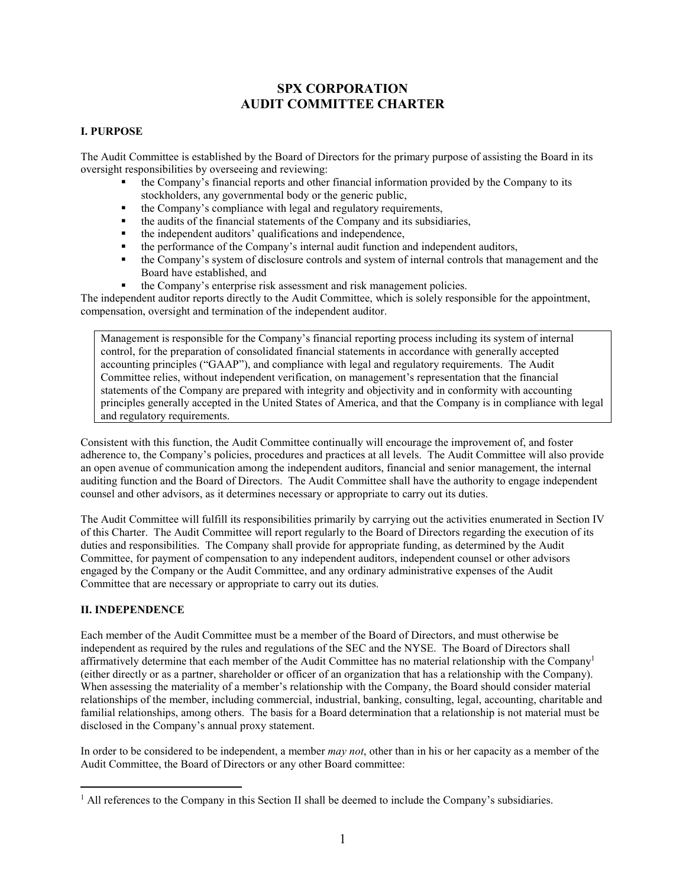# **SPX CORPORATION AUDIT COMMITTEE CHARTER**

#### **I. PURPOSE**

The Audit Committee is established by the Board of Directors for the primary purpose of assisting the Board in its oversight responsibilities by overseeing and reviewing:

- the Company's financial reports and other financial information provided by the Company to its stockholders, any governmental body or the generic public,
- the Company's compliance with legal and regulatory requirements,
- the audits of the financial statements of the Company and its subsidiaries,
- the independent auditors' qualifications and independence,
- the performance of the Company's internal audit function and independent auditors,
- the Company's system of disclosure controls and system of internal controls that management and the Board have established, and
- the Company's enterprise risk assessment and risk management policies.

The independent auditor reports directly to the Audit Committee, which is solely responsible for the appointment, compensation, oversight and termination of the independent auditor.

Management is responsible for the Company's financial reporting process including its system of internal control, for the preparation of consolidated financial statements in accordance with generally accepted accounting principles ("GAAP"), and compliance with legal and regulatory requirements. The Audit Committee relies, without independent verification, on management's representation that the financial statements of the Company are prepared with integrity and objectivity and in conformity with accounting principles generally accepted in the United States of America, and that the Company is in compliance with legal and regulatory requirements.

Consistent with this function, the Audit Committee continually will encourage the improvement of, and foster adherence to, the Company's policies, procedures and practices at all levels. The Audit Committee will also provide an open avenue of communication among the independent auditors, financial and senior management, the internal auditing function and the Board of Directors. The Audit Committee shall have the authority to engage independent counsel and other advisors, as it determines necessary or appropriate to carry out its duties.

The Audit Committee will fulfill its responsibilities primarily by carrying out the activities enumerated in Section IV of this Charter. The Audit Committee will report regularly to the Board of Directors regarding the execution of its duties and responsibilities. The Company shall provide for appropriate funding, as determined by the Audit Committee, for payment of compensation to any independent auditors, independent counsel or other advisors engaged by the Company or the Audit Committee, and any ordinary administrative expenses of the Audit Committee that are necessary or appropriate to carry out its duties.

#### **II. INDEPENDENCE**

 $\overline{a}$ 

Each member of the Audit Committee must be a member of the Board of Directors, and must otherwise be independent as required by the rules and regulations of the SEC and the NYSE. The Board of Directors shall affirmatively determine that each member of the Audit Committee has no material relationship with the Company<sup>1</sup> (either directly or as a partner, shareholder or officer of an organization that has a relationship with the Company). When assessing the materiality of a member's relationship with the Company, the Board should consider material relationships of the member, including commercial, industrial, banking, consulting, legal, accounting, charitable and familial relationships, among others. The basis for a Board determination that a relationship is not material must be disclosed in the Company's annual proxy statement.

In order to be considered to be independent, a member *may not*, other than in his or her capacity as a member of the Audit Committee, the Board of Directors or any other Board committee:

 $<sup>1</sup>$  All references to the Company in this Section II shall be deemed to include the Company's subsidiaries.</sup>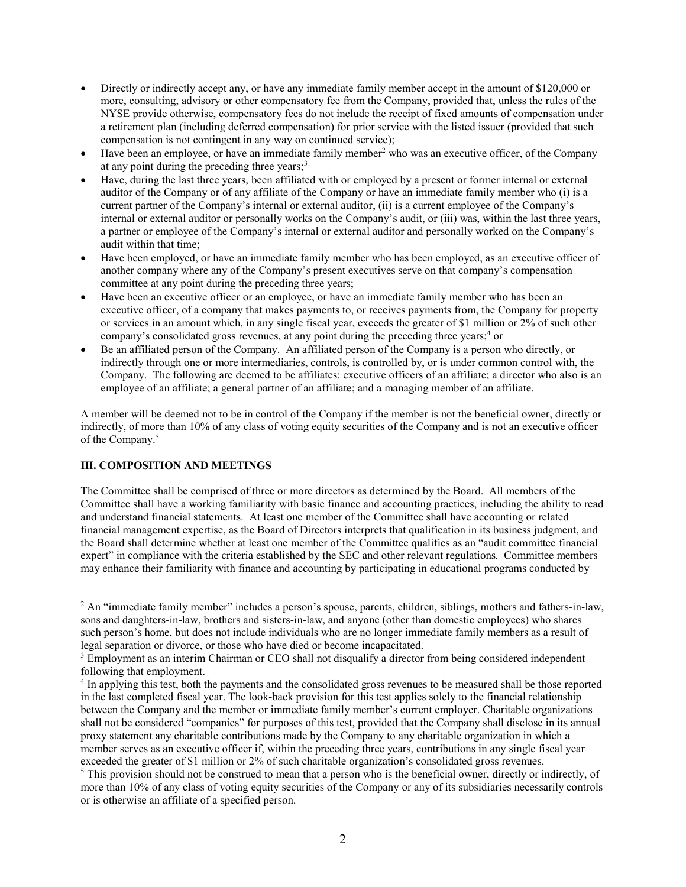- Directly or indirectly accept any, or have any immediate family member accept in the amount of \$120,000 or more, consulting, advisory or other compensatory fee from the Company, provided that, unless the rules of the NYSE provide otherwise, compensatory fees do not include the receipt of fixed amounts of compensation under a retirement plan (including deferred compensation) for prior service with the listed issuer (provided that such compensation is not contingent in any way on continued service);
- $\bullet$  Have been an employee, or have an immediate family member<sup>2</sup> who was an executive officer, of the Company at any point during the preceding three years;<sup>3</sup>
- Have, during the last three years, been affiliated with or employed by a present or former internal or external auditor of the Company or of any affiliate of the Company or have an immediate family member who (i) is a current partner of the Company's internal or external auditor, (ii) is a current employee of the Company's internal or external auditor or personally works on the Company's audit, or (iii) was, within the last three years, a partner or employee of the Company's internal or external auditor and personally worked on the Company's audit within that time;
- Have been employed, or have an immediate family member who has been employed, as an executive officer of another company where any of the Company's present executives serve on that company's compensation committee at any point during the preceding three years;
- Have been an executive officer or an employee, or have an immediate family member who has been an executive officer, of a company that makes payments to, or receives payments from, the Company for property or services in an amount which, in any single fiscal year, exceeds the greater of \$1 million or 2% of such other company's consolidated gross revenues, at any point during the preceding three years;<sup>4</sup> or
- Be an affiliated person of the Company. An affiliated person of the Company is a person who directly, or indirectly through one or more intermediaries, controls, is controlled by, or is under common control with, the Company. The following are deemed to be affiliates: executive officers of an affiliate; a director who also is an employee of an affiliate; a general partner of an affiliate; and a managing member of an affiliate.

A member will be deemed not to be in control of the Company if the member is not the beneficial owner, directly or indirectly, of more than 10% of any class of voting equity securities of the Company and is not an executive officer of the Company.<sup>5</sup>

#### **III. COMPOSITION AND MEETINGS**

 $\overline{a}$ 

The Committee shall be comprised of three or more directors as determined by the Board. All members of the Committee shall have a working familiarity with basic finance and accounting practices, including the ability to read and understand financial statements. At least one member of the Committee shall have accounting or related financial management expertise, as the Board of Directors interprets that qualification in its business judgment, and the Board shall determine whether at least one member of the Committee qualifies as an "audit committee financial expert" in compliance with the criteria established by the SEC and other relevant regulations*.* Committee members may enhance their familiarity with finance and accounting by participating in educational programs conducted by

 $2^2$  An "immediate family member" includes a person's spouse, parents, children, siblings, mothers and fathers-in-law, sons and daughters-in-law, brothers and sisters-in-law, and anyone (other than domestic employees) who shares such person's home, but does not include individuals who are no longer immediate family members as a result of legal separation or divorce, or those who have died or become incapacitated.

<sup>&</sup>lt;sup>3</sup> Employment as an interim Chairman or CEO shall not disqualify a director from being considered independent following that employment.

<sup>&</sup>lt;sup>4</sup> In applying this test, both the payments and the consolidated gross revenues to be measured shall be those reported in the last completed fiscal year. The look-back provision for this test applies solely to the financial relationship between the Company and the member or immediate family member's current employer. Charitable organizations shall not be considered "companies" for purposes of this test, provided that the Company shall disclose in its annual proxy statement any charitable contributions made by the Company to any charitable organization in which a member serves as an executive officer if, within the preceding three years, contributions in any single fiscal year exceeded the greater of \$1 million or 2% of such charitable organization's consolidated gross revenues.

<sup>&</sup>lt;sup>5</sup> This provision should not be construed to mean that a person who is the beneficial owner, directly or indirectly, of more than 10% of any class of voting equity securities of the Company or any of its subsidiaries necessarily controls or is otherwise an affiliate of a specified person.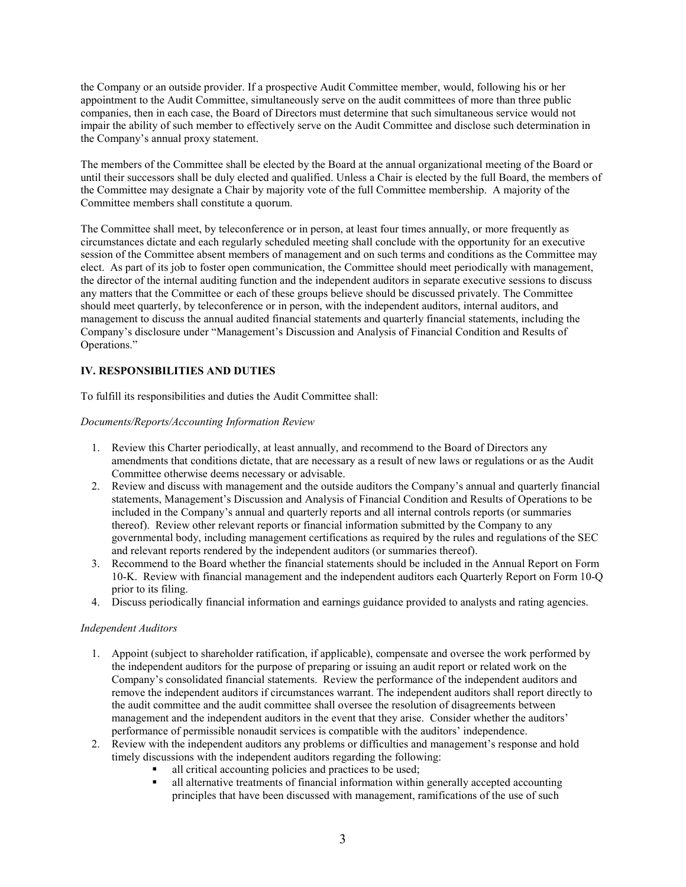the Company or an outside provider. If a prospective Audit Committee member, would, following his or her appointment to the Audit Committee, simultaneously serve on the audit committees of more than three public companies, then in each case, the Board of Directors must determine that such simultaneous service would not impair the ability of such member to effectively serve on the Audit Committee and disclose such determination in the Company's annual proxy statement.

The members of the Committee shall be elected by the Board at the annual organizational meeting of the Board or until their successors shall be duly elected and qualified. Unless a Chair is elected by the full Board, the members of the Committee may designate a Chair by majority vote of the full Committee membership. A majority of the Committee members shall constitute a quorum.

The Committee shall meet, by teleconference or in person, at least four times annually, or more frequently as circumstances dictate and each regularly scheduled meeting shall conclude with the opportunity for an executive session of the Committee absent members of management and on such terms and conditions as the Committee may elect. As part of its job to foster open communication, the Committee should meet periodically with management, the director of the internal auditing function and the independent auditors in separate executive sessions to discuss any matters that the Committee or each of these groups believe should be discussed privately. The Committee should meet quarterly, by teleconference or in person, with the independent auditors, internal auditors, and management to discuss the annual audited financial statements and quarterly financial statements, including the Company's disclosure under "Management's Discussion and Analysis of Financial Condition and Results of Operations."

## **IV. RESPONSIBILITIES AND DUTIES**

To fulfill its responsibilities and duties the Audit Committee shall:

#### *Documents/Reports/Accounting Information Review*

- 1. Review this Charter periodically, at least annually, and recommend to the Board of Directors any amendments that conditions dictate, that are necessary as a result of new laws or regulations or as the Audit Committee otherwise deems necessary or advisable.
- 2. Review and discuss with management and the outside auditors the Company's annual and quarterly financial statements, Management's Discussion and Analysis of Financial Condition and Results of Operations to be included in the Company's annual and quarterly reports and all internal controls reports (or summaries thereof). Review other relevant reports or financial information submitted by the Company to any governmental body, including management certifications as required by the rules and regulations of the SEC and relevant reports rendered by the independent auditors (or summaries thereof).
- 3. Recommend to the Board whether the financial statements should be included in the Annual Report on Form 10-K. Review with financial management and the independent auditors each Quarterly Report on Form 10-Q prior to its filing.
- 4. Discuss periodically financial information and earnings guidance provided to analysts and rating agencies.

#### *Independent Auditors*

- 1. Appoint (subject to shareholder ratification, if applicable), compensate and oversee the work performed by the independent auditors for the purpose of preparing or issuing an audit report or related work on the Company's consolidated financial statements. Review the performance of the independent auditors and remove the independent auditors if circumstances warrant. The independent auditors shall report directly to the audit committee and the audit committee shall oversee the resolution of disagreements between management and the independent auditors in the event that they arise. Consider whether the auditors' performance of permissible nonaudit services is compatible with the auditors' independence.
- 2. Review with the independent auditors any problems or difficulties and management's response and hold timely discussions with the independent auditors regarding the following:
	- all critical accounting policies and practices to be used;<br>■ all alternative treatments of financial information within
	- all alternative treatments of financial information within generally accepted accounting principles that have been discussed with management, ramifications of the use of such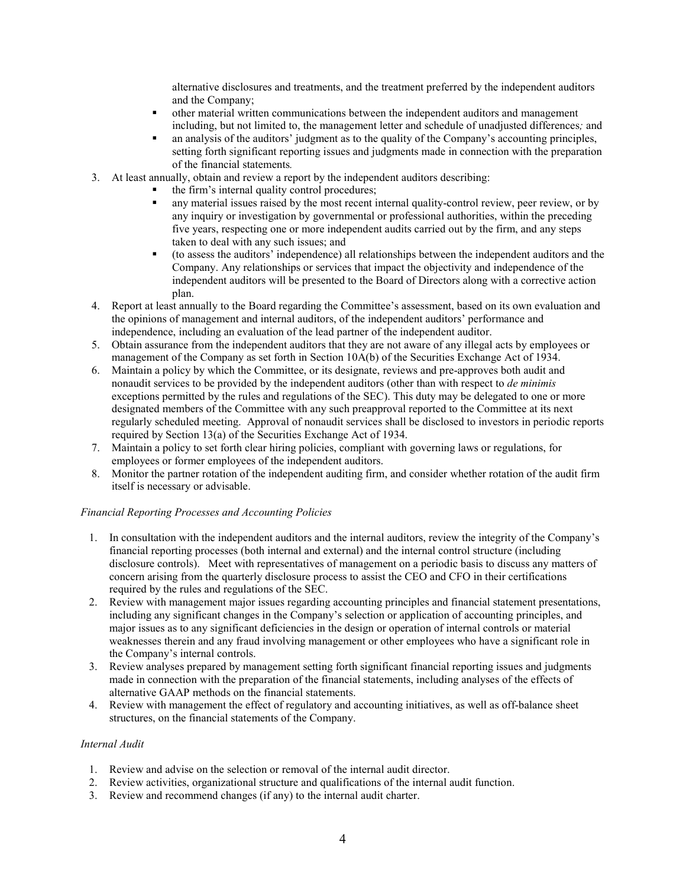alternative disclosures and treatments, and the treatment preferred by the independent auditors and the Company;

- other material written communications between the independent auditors and management including, but not limited to, the management letter and schedule of unadjusted differences*;* and
- an analysis of the auditors' judgment as to the quality of the Company's accounting principles, setting forth significant reporting issues and judgments made in connection with the preparation of the financial statements*.*
- 3. At least annually, obtain and review a report by the independent auditors describing:
	- the firm's internal quality control procedures;
	- any material issues raised by the most recent internal quality-control review, peer review, or by any inquiry or investigation by governmental or professional authorities, within the preceding five years, respecting one or more independent audits carried out by the firm, and any steps taken to deal with any such issues; and
	- (to assess the auditors' independence) all relationships between the independent auditors and the Company. Any relationships or services that impact the objectivity and independence of the independent auditors will be presented to the Board of Directors along with a corrective action plan.
- 4. Report at least annually to the Board regarding the Committee's assessment, based on its own evaluation and the opinions of management and internal auditors, of the independent auditors' performance and independence, including an evaluation of the lead partner of the independent auditor.
- 5. Obtain assurance from the independent auditors that they are not aware of any illegal acts by employees or management of the Company as set forth in Section 10A(b) of the Securities Exchange Act of 1934.
- 6. Maintain a policy by which the Committee, or its designate, reviews and pre-approves both audit and nonaudit services to be provided by the independent auditors (other than with respect to *de minimis* exceptions permitted by the rules and regulations of the SEC). This duty may be delegated to one or more designated members of the Committee with any such preapproval reported to the Committee at its next regularly scheduled meeting. Approval of nonaudit services shall be disclosed to investors in periodic reports required by Section 13(a) of the Securities Exchange Act of 1934.
- 7. Maintain a policy to set forth clear hiring policies, compliant with governing laws or regulations, for employees or former employees of the independent auditors.
- 8. Monitor the partner rotation of the independent auditing firm, and consider whether rotation of the audit firm itself is necessary or advisable.

#### *Financial Reporting Processes and Accounting Policies*

- 1. In consultation with the independent auditors and the internal auditors, review the integrity of the Company's financial reporting processes (both internal and external) and the internal control structure (including disclosure controls). Meet with representatives of management on a periodic basis to discuss any matters of concern arising from the quarterly disclosure process to assist the CEO and CFO in their certifications required by the rules and regulations of the SEC.
- 2. Review with management major issues regarding accounting principles and financial statement presentations, including any significant changes in the Company's selection or application of accounting principles, and major issues as to any significant deficiencies in the design or operation of internal controls or material weaknesses therein and any fraud involving management or other employees who have a significant role in the Company's internal controls.
- 3. Review analyses prepared by management setting forth significant financial reporting issues and judgments made in connection with the preparation of the financial statements, including analyses of the effects of alternative GAAP methods on the financial statements.
- 4. Review with management the effect of regulatory and accounting initiatives, as well as off-balance sheet structures, on the financial statements of the Company.

#### *Internal Audit*

- 1. Review and advise on the selection or removal of the internal audit director.
- 2. Review activities, organizational structure and qualifications of the internal audit function.
- 3. Review and recommend changes (if any) to the internal audit charter.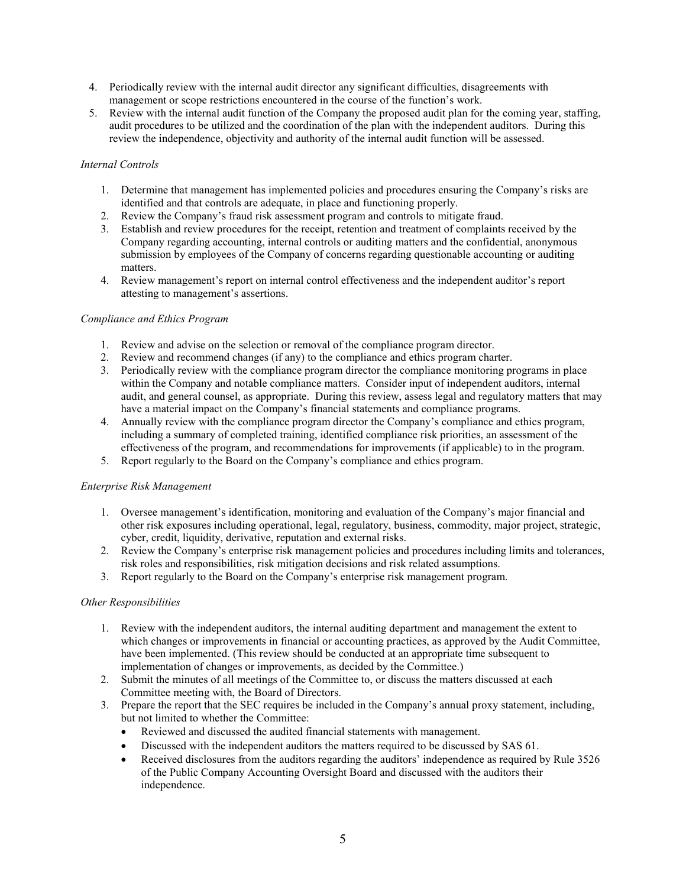- 4. Periodically review with the internal audit director any significant difficulties, disagreements with management or scope restrictions encountered in the course of the function's work.
- 5. Review with the internal audit function of the Company the proposed audit plan for the coming year, staffing, audit procedures to be utilized and the coordination of the plan with the independent auditors. During this review the independence, objectivity and authority of the internal audit function will be assessed.

### *Internal Controls*

- 1. Determine that management has implemented policies and procedures ensuring the Company's risks are identified and that controls are adequate, in place and functioning properly.
- 2. Review the Company's fraud risk assessment program and controls to mitigate fraud.
- 3. Establish and review procedures for the receipt, retention and treatment of complaints received by the Company regarding accounting, internal controls or auditing matters and the confidential, anonymous submission by employees of the Company of concerns regarding questionable accounting or auditing matters.
- 4. Review management's report on internal control effectiveness and the independent auditor's report attesting to management's assertions.

#### *Compliance and Ethics Program*

- 1. Review and advise on the selection or removal of the compliance program director.
- 2. Review and recommend changes (if any) to the compliance and ethics program charter.
- 3. Periodically review with the compliance program director the compliance monitoring programs in place within the Company and notable compliance matters. Consider input of independent auditors, internal audit, and general counsel, as appropriate. During this review, assess legal and regulatory matters that may have a material impact on the Company's financial statements and compliance programs.
- 4. Annually review with the compliance program director the Company's compliance and ethics program, including a summary of completed training, identified compliance risk priorities, an assessment of the effectiveness of the program, and recommendations for improvements (if applicable) to in the program.
- 5. Report regularly to the Board on the Company's compliance and ethics program.

#### *Enterprise Risk Management*

- 1. Oversee management's identification, monitoring and evaluation of the Company's major financial and other risk exposures including operational, legal, regulatory, business, commodity, major project, strategic, cyber, credit, liquidity, derivative, reputation and external risks.
- 2. Review the Company's enterprise risk management policies and procedures including limits and tolerances, risk roles and responsibilities, risk mitigation decisions and risk related assumptions.
- 3. Report regularly to the Board on the Company's enterprise risk management program.

#### *Other Responsibilities*

- 1. Review with the independent auditors, the internal auditing department and management the extent to which changes or improvements in financial or accounting practices, as approved by the Audit Committee, have been implemented. (This review should be conducted at an appropriate time subsequent to implementation of changes or improvements, as decided by the Committee.)
- 2. Submit the minutes of all meetings of the Committee to, or discuss the matters discussed at each Committee meeting with, the Board of Directors.
- 3. Prepare the report that the SEC requires be included in the Company's annual proxy statement, including, but not limited to whether the Committee:
	- Reviewed and discussed the audited financial statements with management.
	- Discussed with the independent auditors the matters required to be discussed by SAS 61.
	- Received disclosures from the auditors regarding the auditors' independence as required by Rule 3526 of the Public Company Accounting Oversight Board and discussed with the auditors their independence.